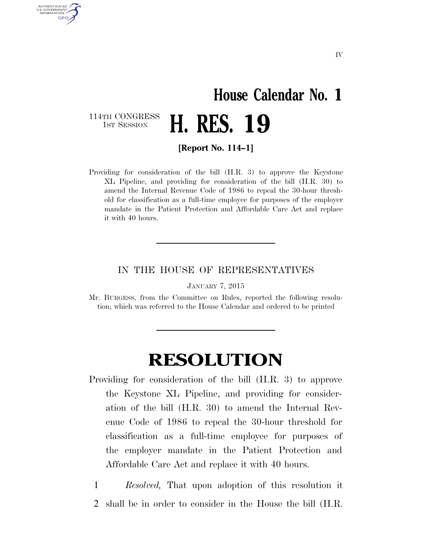## **House Calendar No. 1**  H. RES. 19

114TH CONGRESS<br>1st Session

AUTHENTICATED U.S. GOVERNMENT GPO

**[Report No. 114–1]** 

Providing for consideration of the bill (H.R. 3) to approve the Keystone XL Pipeline, and providing for consideration of the bill (H.R. 30) to amend the Internal Revenue Code of 1986 to repeal the 30-hour threshold for classification as a full-time employee for purposes of the employer mandate in the Patient Protection and Affordable Care Act and replace it with 40 hours.

## IN THE HOUSE OF REPRESENTATIVES

JANUARY 7, 2015

Mr. BURGESS, from the Committee on Rules, reported the following resolution; which was referred to the House Calendar and ordered to be printed

## **RESOLUTION**

- Providing for consideration of the bill (H.R. 3) to approve the Keystone XL Pipeline, and providing for consideration of the bill (H.R. 30) to amend the Internal Revenue Code of 1986 to repeal the 30-hour threshold for classification as a full-time employee for purposes of the employer mandate in the Patient Protection and Affordable Care Act and replace it with 40 hours.
	- 1 *Resolved,* That upon adoption of this resolution it 2 shall be in order to consider in the House the bill (H.R.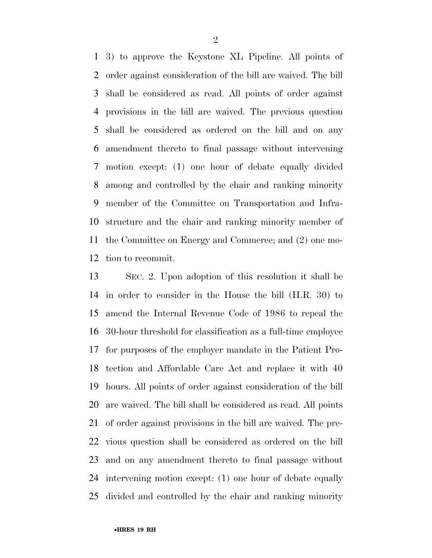3) to approve the Keystone XL Pipeline. All points of order against consideration of the bill are waived. The bill shall be considered as read. All points of order against provisions in the bill are waived. The previous question shall be considered as ordered on the bill and on any amendment thereto to final passage without intervening motion except: (1) one hour of debate equally divided among and controlled by the chair and ranking minority member of the Committee on Transportation and Infra- structure and the chair and ranking minority member of the Committee on Energy and Commerce; and (2) one mo-tion to recommit.

 SEC. 2. Upon adoption of this resolution it shall be in order to consider in the House the bill (H.R. 30) to amend the Internal Revenue Code of 1986 to repeal the 30-hour threshold for classification as a full-time employee for purposes of the employer mandate in the Patient Pro- tection and Affordable Care Act and replace it with 40 hours. All points of order against consideration of the bill are waived. The bill shall be considered as read. All points of order against provisions in the bill are waived. The pre- vious question shall be considered as ordered on the bill and on any amendment thereto to final passage without intervening motion except: (1) one hour of debate equally divided and controlled by the chair and ranking minority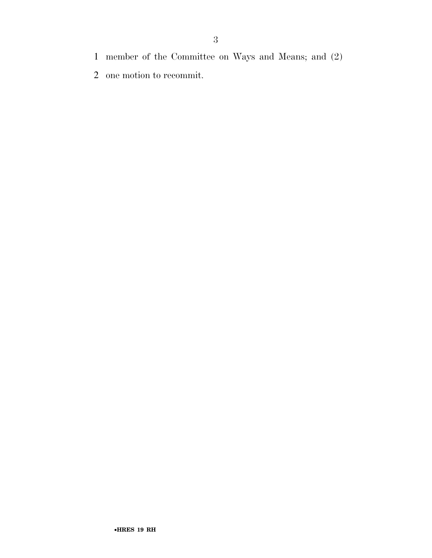- member of the Committee on Ways and Means; and (2)
- one motion to recommit.